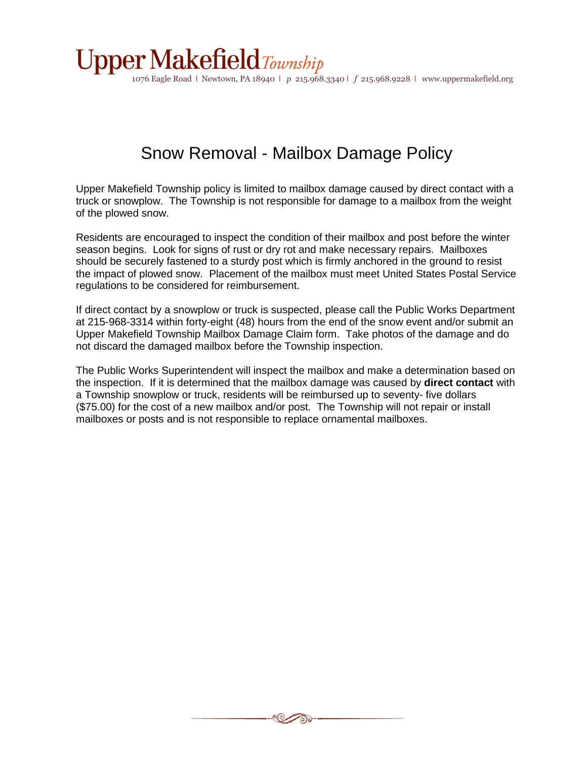

1076 Eagle Road l Newtown, PA 18940 l *p* 215.968.3340 l *f* 215.968.9228 l www.uppermakefield.org

### Snow Removal - Mailbox Damage Policy

Upper Makefield Township policy is limited to mailbox damage caused by direct contact with a truck or snowplow. The Township is not responsible for damage to a mailbox from the weight of the plowed snow.

Residents are encouraged to inspect the condition of their mailbox and post before the winter season begins. Look for signs of rust or dry rot and make necessary repairs. Mailboxes should be securely fastened to a sturdy post which is firmly anchored in the ground to resist the impact of plowed snow. Placement of the mailbox must meet United States Postal Service regulations to be considered for reimbursement.

If direct contact by a snowplow or truck is suspected, please call the Public Works Department at 215-968-3314 within forty-eight (48) hours from the end of the snow event and/or submit an Upper Makefield Township Mailbox Damage Claim form. Take photos of the damage and do not discard the damaged mailbox before the Township inspection.

The Public Works Superintendent will inspect the mailbox and make a determination based on the inspection. If it is determined that the mailbox damage was caused by **direct contact** with a Township snowplow or truck, residents will be reimbursed up to seventy- five dollars (\$75.00) for the cost of a new mailbox and/or post. The Township will not repair or install mailboxes or posts and is not responsible to replace ornamental mailboxes.